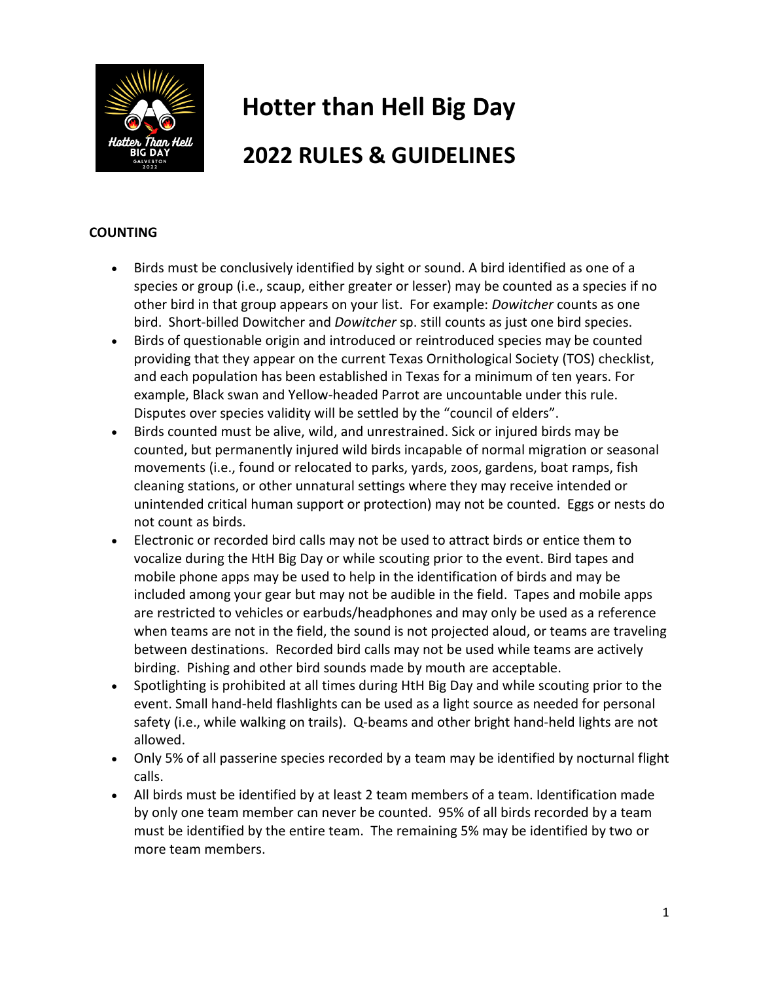

# **Hotter than Hell Big Day 2022 RULES & GUIDELINES**

#### **COUNTING**

- Birds must be conclusively identified by sight or sound. A bird identified as one of a species or group (i.e., scaup, either greater or lesser) may be counted as a species if no other bird in that group appears on your list. For example: *Dowitcher* counts as one bird. Short-billed Dowitcher and *Dowitcher* sp. still counts as just one bird species.
- Birds of questionable origin and introduced or reintroduced species may be counted providing that they appear on the current Texas Ornithological Society (TOS) checklist, and each population has been established in Texas for a minimum of ten years. For example, Black swan and Yellow-headed Parrot are uncountable under this rule. Disputes over species validity will be settled by the "council of elders".
- Birds counted must be alive, wild, and unrestrained. Sick or injured birds may be counted, but permanently injured wild birds incapable of normal migration or seasonal movements (i.e., found or relocated to parks, yards, zoos, gardens, boat ramps, fish cleaning stations, or other unnatural settings where they may receive intended or unintended critical human support or protection) may not be counted. Eggs or nests do not count as birds.
- Electronic or recorded bird calls may not be used to attract birds or entice them to vocalize during the HtH Big Day or while scouting prior to the event. Bird tapes and mobile phone apps may be used to help in the identification of birds and may be included among your gear but may not be audible in the field. Tapes and mobile apps are restricted to vehicles or earbuds/headphones and may only be used as a reference when teams are not in the field, the sound is not projected aloud, or teams are traveling between destinations. Recorded bird calls may not be used while teams are actively birding. Pishing and other bird sounds made by mouth are acceptable.
- Spotlighting is prohibited at all times during HtH Big Day and while scouting prior to the event. Small hand-held flashlights can be used as a light source as needed for personal safety (i.e., while walking on trails). Q-beams and other bright hand-held lights are not allowed.
- Only 5% of all passerine species recorded by a team may be identified by nocturnal flight calls.
- All birds must be identified by at least 2 team members of a team. Identification made by only one team member can never be counted. 95% of all birds recorded by a team must be identified by the entire team. The remaining 5% may be identified by two or more team members.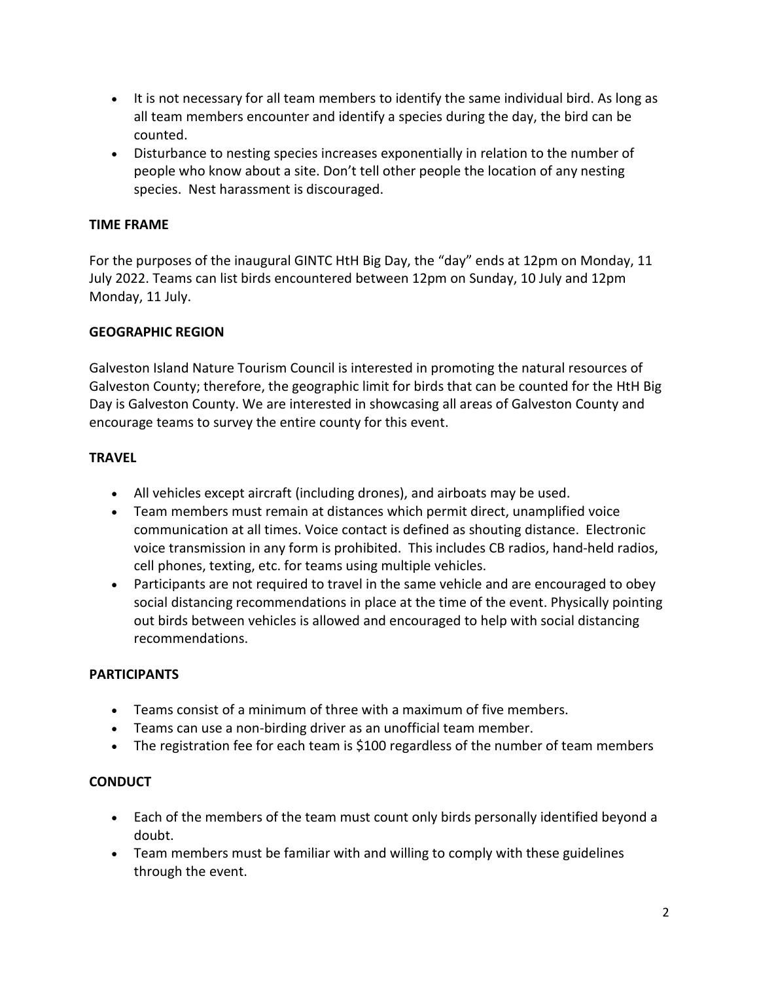- It is not necessary for all team members to identify the same individual bird. As long as all team members encounter and identify a species during the day, the bird can be counted.
- Disturbance to nesting species increases exponentially in relation to the number of people who know about a site. Don't tell other people the location of any nesting species. Nest harassment is discouraged.

#### **TIME FRAME**

For the purposes of the inaugural GINTC HtH Big Day, the "day" ends at 12pm on Monday, 11 July 2022. Teams can list birds encountered between 12pm on Sunday, 10 July and 12pm Monday, 11 July.

# **GEOGRAPHIC REGION**

Galveston Island Nature Tourism Council is interested in promoting the natural resources of Galveston County; therefore, the geographic limit for birds that can be counted for the HtH Big Day is Galveston County. We are interested in showcasing all areas of Galveston County and encourage teams to survey the entire county for this event.

# **TRAVEL**

- All vehicles except aircraft (including drones), and airboats may be used.
- Team members must remain at distances which permit direct, unamplified voice communication at all times. Voice contact is defined as shouting distance. Electronic voice transmission in any form is prohibited. This includes CB radios, hand-held radios, cell phones, texting, etc. for teams using multiple vehicles.
- Participants are not required to travel in the same vehicle and are encouraged to obey social distancing recommendations in place at the time of the event. Physically pointing out birds between vehicles is allowed and encouraged to help with social distancing recommendations.

#### **PARTICIPANTS**

- Teams consist of a minimum of three with a maximum of five members.
- Teams can use a non-birding driver as an unofficial team member.
- The registration fee for each team is \$100 regardless of the number of team members

#### **CONDUCT**

- Each of the members of the team must count only birds personally identified beyond a doubt.
- Team members must be familiar with and willing to comply with these guidelines through the event.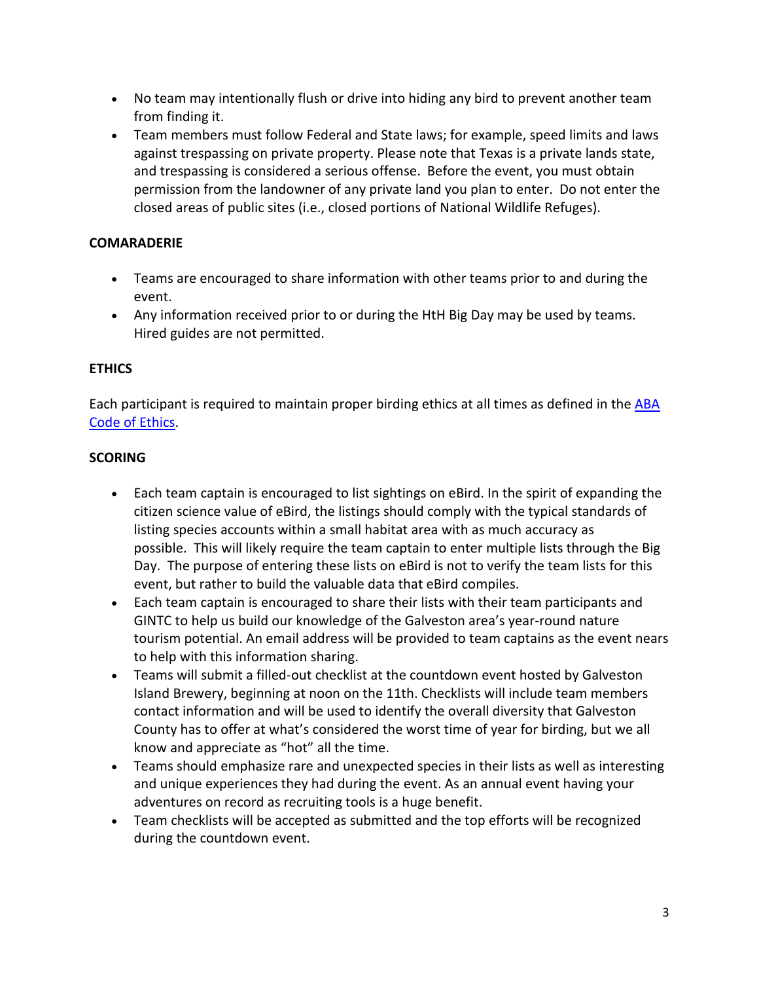- No team may intentionally flush or drive into hiding any bird to prevent another team from finding it.
- Team members must follow Federal and State laws; for example, speed limits and laws against trespassing on private property. Please note that Texas is a private lands state, and trespassing is considered a serious offense. Before the event, you must obtain permission from the landowner of any private land you plan to enter. Do not enter the closed areas of public sites (i.e., closed portions of National Wildlife Refuges).

### **COMARADERIE**

- Teams are encouraged to share information with other teams prior to and during the event.
- Any information received prior to or during the HtH Big Day may be used by teams. Hired guides are not permitted.

# **ETHICS**

Each participant is required to maintain proper birding ethics at all times as defined in the [ABA](https://www.aba.org/aba-code-of-birding-ethics/)  [Code of Ethics.](https://www.aba.org/aba-code-of-birding-ethics/)

# **SCORING**

- Each team captain is encouraged to list sightings on eBird. In the spirit of expanding the citizen science value of eBird, the listings should comply with the typical standards of listing species accounts within a small habitat area with as much accuracy as possible. This will likely require the team captain to enter multiple lists through the Big Day. The purpose of entering these lists on eBird is not to verify the team lists for this event, but rather to build the valuable data that eBird compiles.
- Each team captain is encouraged to share their lists with their team participants and GINTC to help us build our knowledge of the Galveston area's year-round nature tourism potential. An email address will be provided to team captains as the event nears to help with this information sharing.
- Teams will submit a filled-out checklist at the countdown event hosted by Galveston Island Brewery, beginning at noon on the 11th. Checklists will include team members contact information and will be used to identify the overall diversity that Galveston County has to offer at what's considered the worst time of year for birding, but we all know and appreciate as "hot" all the time.
- Teams should emphasize rare and unexpected species in their lists as well as interesting and unique experiences they had during the event. As an annual event having your adventures on record as recruiting tools is a huge benefit.
- Team checklists will be accepted as submitted and the top efforts will be recognized during the countdown event.